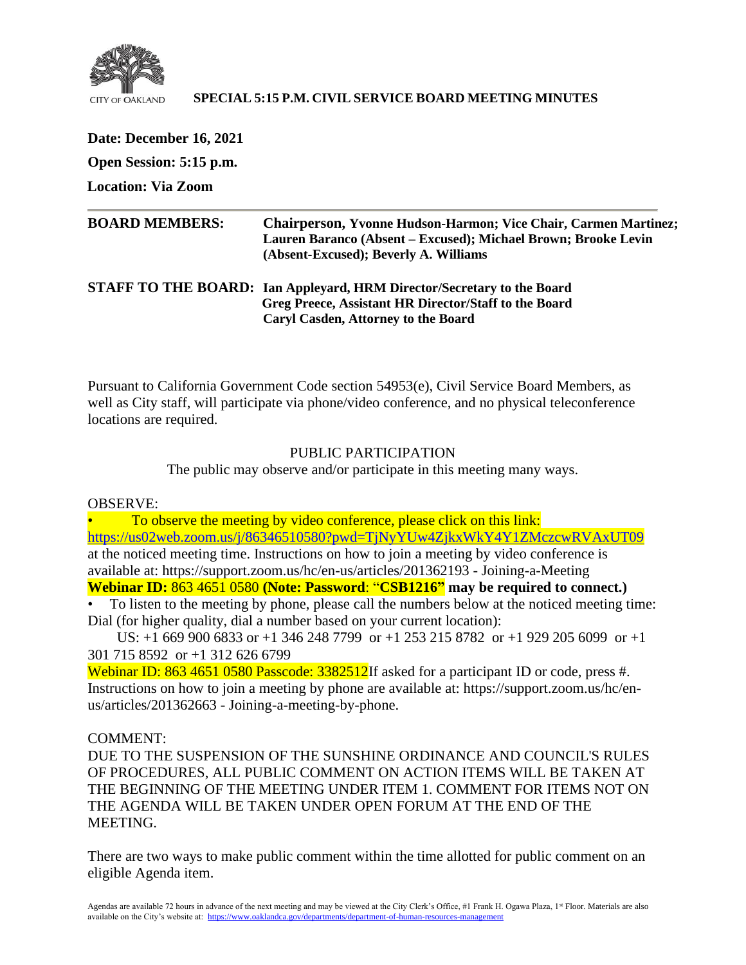

#### **SPECIAL 5:15 P.M. CIVIL SERVICE BOARD MEETING MINUTES**

**Date: December 16, 2021 Open Session: 5:15 p.m. Location: Via Zoom**

**BOARD MEMBERS: Chairperson, Yvonne Hudson-Harmon; Vice Chair, Carmen Martinez; Lauren Baranco (Absent – Excused); Michael Brown; Brooke Levin (Absent-Excused); Beverly A. Williams STAFF TO THE BOARD: Ian Appleyard, HRM Director/Secretary to the Board Greg Preece, Assistant HR Director/Staff to the Board**

**Caryl Casden, Attorney to the Board**

Pursuant to California Government Code section 54953(e), Civil Service Board Members, as well as City staff, will participate via phone/video conference, and no physical teleconference locations are required.

#### PUBLIC PARTICIPATION

The public may observe and/or participate in this meeting many ways.

OBSERVE:

• To observe the meeting by video conference, please click on this link: <https://us02web.zoom.us/j/86346510580?pwd=TjNyYUw4ZjkxWkY4Y1ZMczcwRVAxUT09> at the noticed meeting time. Instructions on how to join a meeting by video conference is available at: https://support.zoom.us/hc/en-us/articles/201362193 - Joining-a-Meeting **Webinar ID:** 863 4651 0580 **(Note: Password**: "**CSB1216" may be required to connect.)**

• To listen to the meeting by phone, please call the numbers below at the noticed meeting time: Dial (for higher quality, dial a number based on your current location):

 US: +1 669 900 6833 or +1 346 248 7799 or +1 253 215 8782 or +1 929 205 6099 or +1 301 715 8592 or +1 312 626 6799

Webinar ID: 863 4651 0580 Passcode: 3382512 If asked for a participant ID or code, press #. Instructions on how to join a meeting by phone are available at: https://support.zoom.us/hc/enus/articles/201362663 - Joining-a-meeting-by-phone.

COMMENT:

DUE TO THE SUSPENSION OF THE SUNSHINE ORDINANCE AND COUNCIL'S RULES OF PROCEDURES, ALL PUBLIC COMMENT ON ACTION ITEMS WILL BE TAKEN AT THE BEGINNING OF THE MEETING UNDER ITEM 1. COMMENT FOR ITEMS NOT ON THE AGENDA WILL BE TAKEN UNDER OPEN FORUM AT THE END OF THE MEETING.

There are two ways to make public comment within the time allotted for public comment on an eligible Agenda item.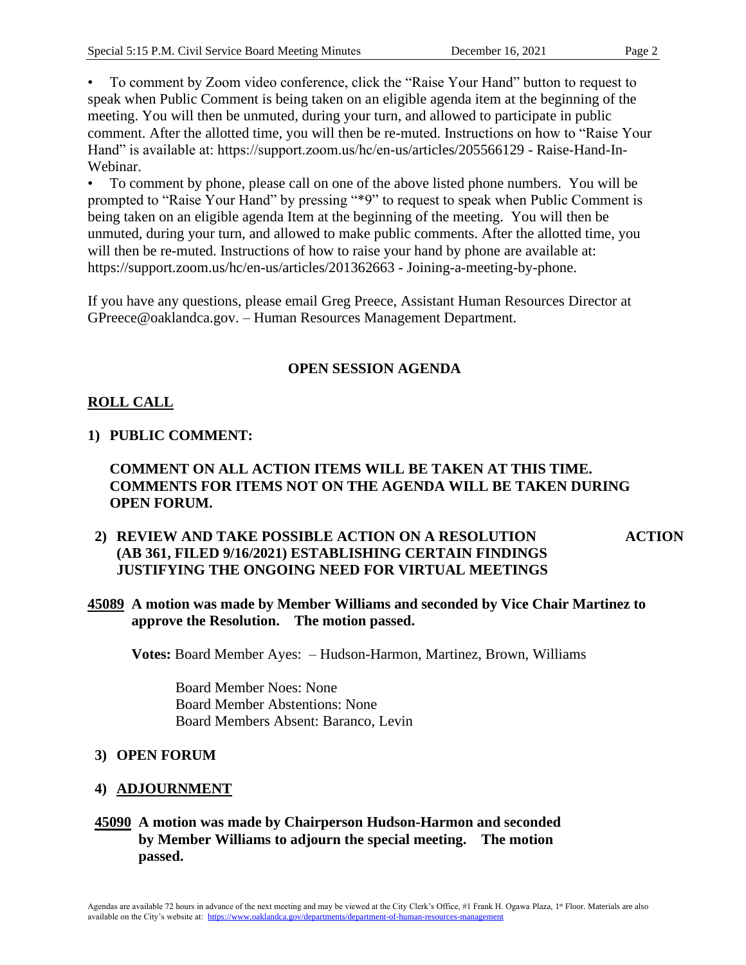• To comment by Zoom video conference, click the "Raise Your Hand" button to request to speak when Public Comment is being taken on an eligible agenda item at the beginning of the meeting. You will then be unmuted, during your turn, and allowed to participate in public comment. After the allotted time, you will then be re-muted. Instructions on how to "Raise Your Hand" is available at: https://support.zoom.us/hc/en-us/articles/205566129 - Raise-Hand-In-Webinar.

• To comment by phone, please call on one of the above listed phone numbers. You will be prompted to "Raise Your Hand" by pressing "\*9" to request to speak when Public Comment is being taken on an eligible agenda Item at the beginning of the meeting. You will then be unmuted, during your turn, and allowed to make public comments. After the allotted time, you will then be re-muted. Instructions of how to raise your hand by phone are available at: https://support.zoom.us/hc/en-us/articles/201362663 - Joining-a-meeting-by-phone.

If you have any questions, please email Greg Preece, Assistant Human Resources Director at GPreece@oaklandca.gov. – Human Resources Management Department.

## **OPEN SESSION AGENDA**

# **ROLL CALL**

## **1) PUBLIC COMMENT:**

## **COMMENT ON ALL ACTION ITEMS WILL BE TAKEN AT THIS TIME. COMMENTS FOR ITEMS NOT ON THE AGENDA WILL BE TAKEN DURING OPEN FORUM.**

- **2) REVIEW AND TAKE POSSIBLE ACTION ON A RESOLUTION (AB 361, FILED 9/16/2021) ESTABLISHING CERTAIN FINDINGS JUSTIFYING THE ONGOING NEED FOR VIRTUAL MEETINGS ACTION**
- **45089 A motion was made by Member Williams and seconded by Vice Chair Martinez to approve the Resolution. The motion passed.**

**Votes:** Board Member Ayes: – Hudson-Harmon, Martinez, Brown, Williams

Board Member Noes: None Board Member Abstentions: None Board Members Absent: Baranco, Levin

#### **3) OPEN FORUM**

## **4) ADJOURNMENT**

**45090 A motion was made by Chairperson Hudson-Harmon and seconded by Member Williams to adjourn the special meeting. The motion passed.**